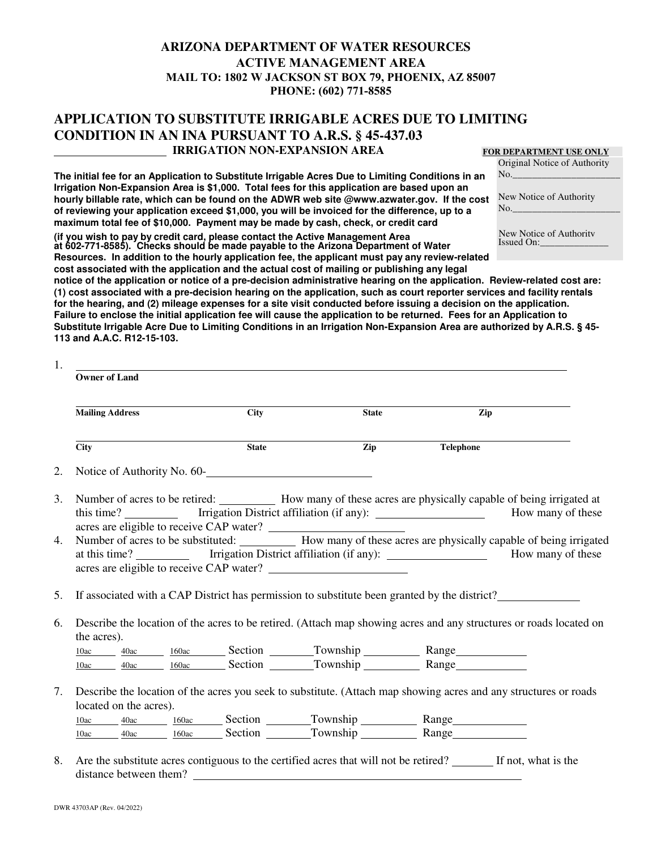## **ARIZONA DEPARTMENT OF WATER RESOURCES ACTIVE MANAGEMENT AREA MAIL TO: 1802 W JACKSON ST BOX 79, PHOENIX, AZ 85007 PHONE: (602) 771-8585**

## **APPLICATION TO SUBSTITUTE IRRIGABLE ACRES DUE TO LIMITING CONDITION IN AN INA PURSUANT TO A.R.S. § 45-437.03 IRRIGATION NON-EXPANSION AREA**

## **FOR DEPARTMENT USE ONLY** Original Notice of Authority

 $No.$ 

Issued On:

**The initial fee for an Application to Substitute Irrigable Acres Due to Limiting Conditions in an Irrigation Non-Expansion Area is \$1,000. Total fees for this application are based upon an hourly billable rate, which can be found on the ADWR web site @www.azwater.gov. If the cost of reviewing your application exceed \$1,000, you will be invoiced for the difference, up to a maximum total fee of \$10,000. Payment may be made by cash, check, or credit card** 

New Notice of Authority  $No.$ 

**at 602-771-8585). Checks should be made payable to the Arizona Department of Water Resources. In addition to the hourly application fee, the applicant must pay any review-related (if you wish to pay by credit card, please contact the Active Management Area New Notice of Authority** 

**cost associated with the application and the actual cost of mailing or publishing any legal notice of the application or notice of a pre-decision administrative hearing on the application. Review-related cost are: (1) cost associated with a pre-decision hearing on the application, such as court reporter services and facility rentals for the hearing, and (2) mileage expenses for a site visit conducted before issuing a decision on the application. Failure to enclose the initial application fee will cause the application to be returned. Fees for an Application to Substitute Irrigable Acre Due to Limiting Conditions in an Irrigation Non-Expansion Area are authorized by A.R.S. § 45- 113 and A.A.C. R12-15-103.**

|                   | <b>Owner of Land</b>                                                                                                              |  |              |                                                                                                                                                              |                   |  |  |
|-------------------|-----------------------------------------------------------------------------------------------------------------------------------|--|--------------|--------------------------------------------------------------------------------------------------------------------------------------------------------------|-------------------|--|--|
|                   | <b>Mailing Address</b>                                                                                                            |  | <b>City</b>  | <b>State</b>                                                                                                                                                 | $\overline{z}$ ip |  |  |
| $\overline{City}$ |                                                                                                                                   |  | <b>State</b> | Zip                                                                                                                                                          | Telephone         |  |  |
| 2.                |                                                                                                                                   |  |              |                                                                                                                                                              |                   |  |  |
| 3.                |                                                                                                                                   |  |              | Number of acres to be retired: How many of these acres are physically capable of being irrigated at                                                          |                   |  |  |
| 4.                |                                                                                                                                   |  |              | Number of acres to be substituted: ___________ How many of these acres are physically capable of being irrigated<br>acres are eligible to receive CAP water? |                   |  |  |
| 5.                |                                                                                                                                   |  |              | If associated with a CAP District has permission to substitute been granted by the district?                                                                 |                   |  |  |
|                   | Describe the location of the acres to be retired. (Attach map showing acres and any structures or roads located on<br>the acres). |  |              |                                                                                                                                                              |                   |  |  |
|                   |                                                                                                                                   |  |              | 10ac 40ac 160ac Section Township Range                                                                                                                       |                   |  |  |
|                   |                                                                                                                                   |  |              | 10ac 40ac 160ac Section Township Range                                                                                                                       |                   |  |  |
| 7.                |                                                                                                                                   |  |              | Describe the location of the acres you seek to substitute. (Attach map showing acres and any structures or roads                                             |                   |  |  |
|                   | located on the acres).                                                                                                            |  |              |                                                                                                                                                              |                   |  |  |
|                   |                                                                                                                                   |  |              | 10ac 40ac 160ac Section Township Range                                                                                                                       |                   |  |  |
|                   |                                                                                                                                   |  |              | 10ac 40ac 160ac Section Township Range                                                                                                                       |                   |  |  |

es contiguous to the certified acres that will not be retired? distance between them?